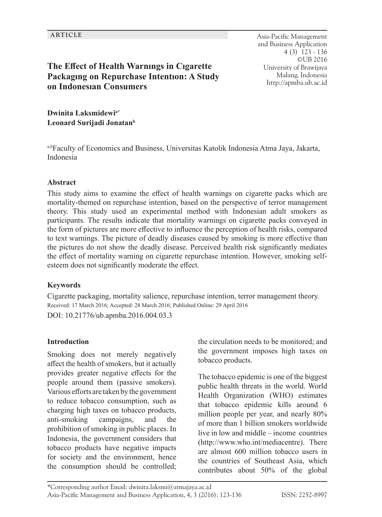#### **ARTICLE** Asia-Pacific Management and Business Application 4 (3) 123 - 136 ©UB 2016 University of Brawijaya Malang, Indonesia http://apmba.ub.ac.id

# **The Effect of Health Warnıngs in Cıgarette Packagıng on Repurchase Intentıon: A Study on Indonesıan Consumers**

**Dwinita Laksmidewia\* Leonard Surijadi Jonatan<sup>b</sup>**

a,bFaculty of Economics and Business, Universitas Katolik Indonesia Atma Jaya, Jakarta, Indonesia

#### **Abstract**

This study aims to examine the effect of health warnings on cigarette packs which are mortality-themed on repurchase intention, based on the perspective of terror management theory. This study used an experimental method with Indonesian adult smokers as participants. The results indicate that mortality warnings on cigarette packs conveyed in the form of pictures are more effective to influence the perception of health risks, compared to text warnings. The picture of deadly diseases caused by smoking is more effective than the pictures do not show the deadly disease. Perceived health risk significantly mediates the effect of mortality warning on cigarette repurchase intention. However, smoking selfesteem does not significantly moderate the effect.

#### **Keywords**

Cigarette packaging, mortality salience, repurchase intention, terror management theory. Received: 17 March 2016; Accepted: 28 March 2016; Published Online: 29 April 2016

DOI: 10.21776/ub.apmba.2016.004.03.3

#### **Introduction**

Smoking does not merely negatively affect the health of smokers, but it actually provides greater negative effects for the people around them (passive smokers). Various efforts are taken by the government to reduce tobacco consumption, such as charging high taxes on tobacco products, anti-smoking campaigns, and the prohibition of smoking in public places. In Indonesia, the government considers that tobacco products have negative impacts for society and the environment, hence the consumption should be controlled; the circulation needs to be monitored; and the government imposes high taxes on tobacco products.

The tobacco epidemic is one of the biggest public health threats in the world. World Health Organization (WHO) estimates that tobacco epidemic kills around 6 million people per year, and nearly 80% of more than 1 billion smokers worldwide live in low and middle – income countries (http://www.who.int/mediacentre). There are almost 600 million tobacco users in the countries of Southeast Asia, which contributes about 50% of the global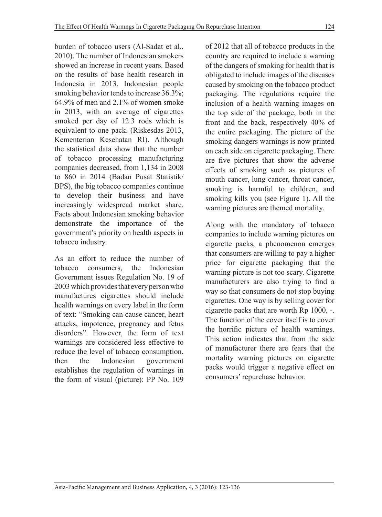burden of tobacco users (Al-Sadat et al., 2010). The number of Indonesian smokers showed an increase in recent years. Based on the results of base health research in Indonesia in 2013, Indonesian people smoking behavior tends to increase 36.3%; 64.9% of men and 2.1% of women smoke in 2013, with an average of cigarettes smoked per day of 12.3 rods which is equivalent to one pack. (Riskesdas 2013, Kementerian Kesehatan RI). Although the statistical data show that the number of tobacco processing manufacturing companies decreased, from 1,134 in 2008 to 860 in 2014 (Badan Pusat Statistik/ BPS), the big tobacco companies continue to develop their business and have increasingly widespread market share. Facts about Indonesian smoking behavior demonstrate the importance of the government's priority on health aspects in tobacco industry.

As an effort to reduce the number of tobacco consumers, the Indonesian Government issues Regulation No. 19 of 2003 which provides that every person who manufactures cigarettes should include health warnings on every label in the form of text: "Smoking can cause cancer, heart attacks, impotence, pregnancy and fetus disorders". However, the form of text warnings are considered less effective to reduce the level of tobacco consumption, then the Indonesian government establishes the regulation of warnings in the form of visual (picture): PP No. 109

of 2012 that all of tobacco products in the country are required to include a warning of the dangers of smoking for health that is obligated to include images of the diseases caused by smoking on the tobacco product packaging. The regulations require the inclusion of a health warning images on the top side of the package, both in the front and the back, respectively 40% of the entire packaging. The picture of the smoking dangers warnings is now printed on each side on cigarette packaging. There are five pictures that show the adverse effects of smoking such as pictures of mouth cancer, lung cancer, throat cancer, smoking is harmful to children, and smoking kills you (see Figure 1). All the warning pictures are themed mortality.

Along with the mandatory of tobacco companies to include warning pictures on cigarette packs, a phenomenon emerges that consumers are willing to pay a higher price for cigarette packaging that the warning picture is not too scary. Cigarette manufacturers are also trying to find a way so that consumers do not stop buying cigarettes. One way is by selling cover for cigarette packs that are worth Rp 1000, -. The function of the cover itself is to cover the horrific picture of health warnings. This action indicates that from the side of manufacturer there are fears that the mortality warning pictures on cigarette packs would trigger a negative effect on consumers' repurchase behavior.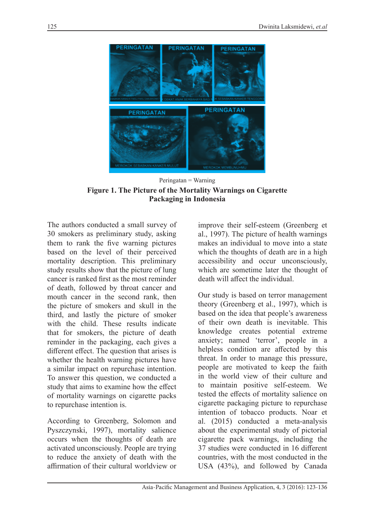

Peringatan = Warning **Figure 1. The Picture of the Mortality Warnings on Cigarette Packaging in Indonesia**

The authors conducted a small survey of 30 smokers as preliminary study, asking them to rank the five warning pictures based on the level of their perceived mortality description. This preliminary study results show that the picture of lung cancer is ranked first as the most reminder of death, followed by throat cancer and mouth cancer in the second rank, then the picture of smokers and skull in the third, and lastly the picture of smoker with the child. These results indicate that for smokers, the picture of death reminder in the packaging, each gives a different effect. The question that arises is whether the health warning pictures have a similar impact on repurchase intention. To answer this question, we conducted a study that aims to examine how the effect of mortality warnings on cigarette packs to repurchase intention is.

According to Greenberg, Solomon and Pyszczynski, 1997), mortality salience occurs when the thoughts of death are activated unconsciously. People are trying to reduce the anxiety of death with the affirmation of their cultural worldview or

improve their self-esteem (Greenberg et al., 1997). The picture of health warnings makes an individual to move into a state which the thoughts of death are in a high accessibility and occur unconsciously, which are sometime later the thought of death will affect the individual.

Our study is based on terror management theory (Greenberg et al., 1997), which is based on the idea that people's awareness of their own death is inevitable. This knowledge creates potential extreme anxiety; named 'terror', people in a helpless condition are affected by this threat. In order to manage this pressure, people are motivated to keep the faith in the world view of their culture and to maintain positive self-esteem. We tested the effects of mortality salience on cigarette packaging picture to repurchase intention of tobacco products. Noar et al. (2015) conducted a meta-analysis about the experimental study of pictorial cigarette pack warnings, including the 37 studies were conducted in 16 different countries, with the most conducted in the USA (43%), and followed by Canada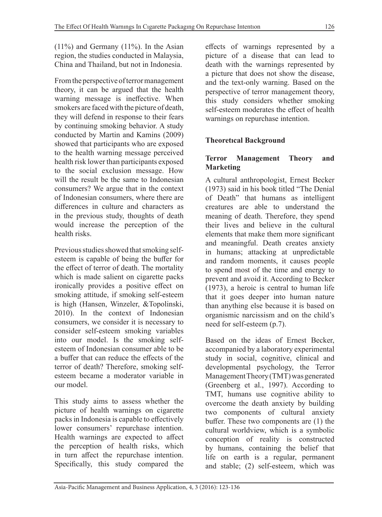$(11\%)$  and Germany  $(11\%)$ . In the Asian region, the studies conducted in Malaysia, China and Thailand, but not in Indonesia.

From the perspective of terror management theory, it can be argued that the health warning message is ineffective. When smokers are faced with the picture of death, they will defend in response to their fears by continuing smoking behavior. A study conducted by Martin and Kamins (2009) showed that participants who are exposed to the health warning message perceived health risk lower than participants exposed to the social exclusion message. How will the result be the same to Indonesian consumers? We argue that in the context of Indonesian consumers, where there are differences in culture and characters as in the previous study, thoughts of death would increase the perception of the health risks.

Previous studies showed that smoking selfesteem is capable of being the buffer for the effect of terror of death. The mortality which is made salient on cigarette packs ironically provides a positive effect on smoking attitude, if smoking self-esteem is high (Hansen, Winzeler, &Topolinski, 2010). In the context of Indonesian consumers, we consider it is necessary to consider self-esteem smoking variables into our model. Is the smoking selfesteem of Indonesian consumer able to be a buffer that can reduce the effects of the terror of death? Therefore, smoking selfesteem became a moderator variable in our model.

This study aims to assess whether the picture of health warnings on cigarette packs in Indonesia is capable to effectively lower consumers' repurchase intention. Health warnings are expected to affect the perception of health risks, which in turn affect the repurchase intention. Specifically, this study compared the effects of warnings represented by a picture of a disease that can lead to death with the warnings represented by a picture that does not show the disease, and the text-only warning. Based on the perspective of terror management theory, this study considers whether smoking self-esteem moderates the effect of health warnings on repurchase intention.

# **Theoretıcal Background**

### **Terror Management Theory and Marketing**

A cultural anthropologist, Ernest Becker (1973) said in his book titled "The Denial of Death" that humans as intelligent creatures are able to understand the meaning of death. Therefore, they spend their lives and believe in the cultural elements that make them more significant and meaningful. Death creates anxiety in humans; attacking at unpredictable and random moments, it causes people to spend most of the time and energy to prevent and avoid it. According to Becker (1973), a heroic is central to human life that it goes deeper into human nature than anything else because it is based on organismic narcissism and on the child's need for self-esteem (p.7).

Based on the ideas of Ernest Becker, accompanied by a laboratory experimental study in social, cognitive, clinical and developmental psychology, the Terror Management Theory (TMT) was generated (Greenberg et al., 1997). According to TMT, humans use cognitive ability to overcome the death anxiety by building two components of cultural anxiety buffer. These two components are (1) the cultural worldview, which is a symbolic conception of reality is constructed by humans, containing the belief that life on earth is a regular, permanent and stable; (2) self-esteem, which was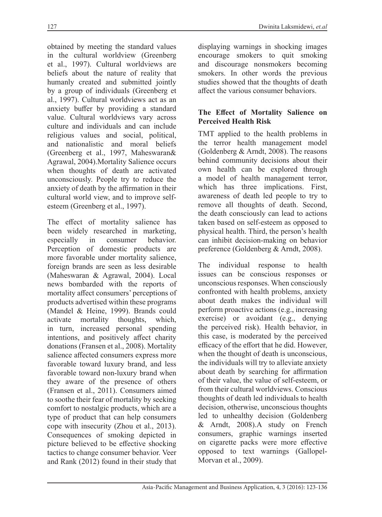obtained by meeting the standard values in the cultural worldview (Greenberg et al., 1997). Cultural worldviews are beliefs about the nature of reality that humanly created and submitted jointly by a group of individuals (Greenberg et al., 1997). Cultural worldviews act as an anxiety buffer by providing a standard value. Cultural worldviews vary across culture and individuals and can include religious values and social, political, and nationalistic and moral beliefs (Greenberg et al., 1997, Maheswaran& Agrawal, 2004).Mortality Salience occurs when thoughts of death are activated unconsciously. People try to reduce the anxiety of death by the affirmation in their cultural world view, and to improve selfesteem (Greenberg et al., 1997).

The effect of mortality salience has been widely researched in marketing, especially in consumer behavior. Perception of domestic products are more favorable under mortality salience, foreign brands are seen as less desirable (Maheswaran & Agrawal, 2004). Local news bombarded with the reports of mortality affect consumers' perceptions of products advertised within these programs (Mandel & Heine, 1999). Brands could activate mortality thoughts, which, in turn, increased personal spending intentions, and positively affect charity donations (Fransen et al., 2008). Mortality salience affected consumers express more favorable toward luxury brand, and less favorable toward non-luxury brand when they aware of the presence of others (Fransen et al., 2011). Consumers aimed to soothe their fear of mortality by seeking comfort to nostalgic products, which are a type of product that can help consumers cope with insecurity (Zhou et al., 2013). Consequences of smoking depicted in picture believed to be effective shocking tactics to change consumer behavior. Veer and Rank (2012) found in their study that displaying warnings in shocking images encourage smokers to quit smoking and discourage nonsmokers becoming smokers. In other words the previous studies showed that the thoughts of death affect the various consumer behaviors.

#### **The Effect of Mortality Salience on Perceived Health Risk**

TMT applied to the health problems in the terror health management model (Goldenberg & Arndt, 2008). The reasons behind community decisions about their own health can be explored through a model of health management terror, which has three implications. First, awareness of death led people to try to remove all thoughts of death. Second, the death consciously can lead to actions taken based on self-esteem as opposed to physical health. Third, the person's health can inhibit decision-making on behavior preference (Goldenberg & Arndt, 2008).

The individual response to health issues can be conscious responses or unconscious responses. When consciously confronted with health problems, anxiety about death makes the individual will perform proactive actions (e.g., increasing exercise) or avoidant (e.g., denying the perceived risk). Health behavior, in this case, is moderated by the perceived efficacy of the effort that he did. However, when the thought of death is unconscious, the individuals will try to alleviate anxiety about death by searching for affirmation of their value, the value of self-esteem, or from their cultural worldviews. Conscious thoughts of death led individuals to health decision, otherwise, unconscious thoughts led to unhealthy decision (Goldenberg & Arndt, 2008).A study on French consumers, graphic warnings inserted on cigarette packs were more effective opposed to text warnings (Gallopel-Morvan et al., 2009).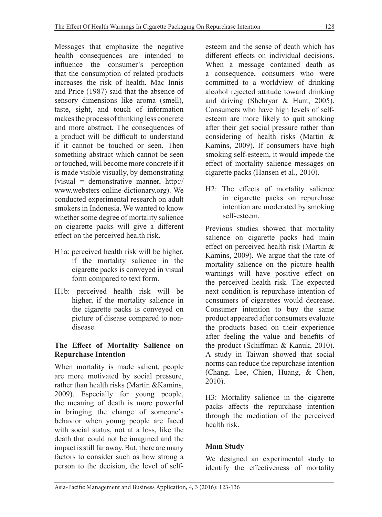Messages that emphasize the negative health consequences are intended to influence the consumer's perception that the consumption of related products increases the risk of health. Mac Innis and Price (1987) said that the absence of sensory dimensions like aroma (smell), taste, sight, and touch of information makes the process of thinking less concrete and more abstract. The consequences of a product will be difficult to understand if it cannot be touched or seen. Then something abstract which cannot be seen or touched, will become more concrete if it is made visible visually, by demonstrating (visual = demonstrative manner, http:// www.websters-online-dictionary.org). We conducted experimental research on adult smokers in Indonesia. We wanted to know whether some degree of mortality salience on cigarette packs will give a different effect on the perceived health risk.

- H1a: perceived health risk will be higher, if the mortality salience in the cigarette packs is conveyed in visual form compared to text form.
- H1b: perceived health risk will be higher, if the mortality salience in the cigarette packs is conveyed on picture of disease compared to nondisease.

### **The Effect of Mortality Salience on Repurchase Intention**

When mortality is made salient, people are more motivated by social pressure, rather than health risks (Martin &Kamins, 2009). Especially for young people, the meaning of death is more powerful in bringing the change of someone's behavior when young people are faced with social status, not at a loss, like the death that could not be imagined and the impact is still far away. But, there are many factors to consider such as how strong a person to the decision, the level of selfesteem and the sense of death which has different effects on individual decisions. When a message contained death as a consequence, consumers who were committed to a worldview of drinking alcohol rejected attitude toward drinking and driving (Shehryar & Hunt, 2005). Consumers who have high levels of selfesteem are more likely to quit smoking after their get social pressure rather than considering of health risks (Martin & Kamins, 2009). If consumers have high smoking self-esteem, it would impede the effect of mortality salience messages on cigarette packs (Hansen et al., 2010).

H2: The effects of mortality salience in cigarette packs on repurchase intention are moderated by smoking self-esteem.

Previous studies showed that mortality salience on cigarette packs had main effect on perceived health risk (Martin & Kamins, 2009). We argue that the rate of mortality salience on the picture health warnings will have positive effect on the perceived health risk. The expected next condition is repurchase intention of consumers of cigarettes would decrease. Consumer intention to buy the same product appeared after consumers evaluate the products based on their experience after feeling the value and benefits of the product (Schiffman & Kanuk, 2010). A study in Taiwan showed that social norms can reduce the repurchase intention (Chang, Lee, Chien, Huang, & Chen, 2010).

H3: Mortality salience in the cigarette packs affects the repurchase intention through the mediation of the perceived health risk.

## **Maın Study**

We designed an experimental study to identify the effectiveness of mortality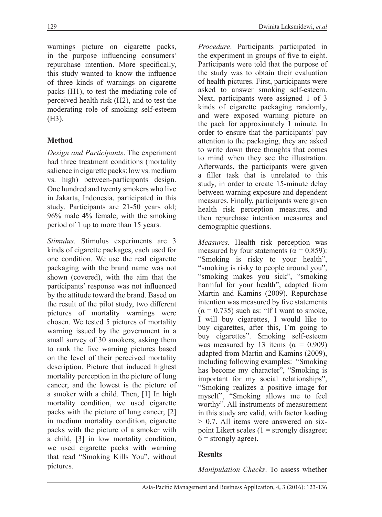warnings picture on cigarette packs, in the purpose influencing consumers' repurchase intention. More specifically, this study wanted to know the influence of three kinds of warnings on cigarette packs (H1), to test the mediating role of perceived health risk (H2), and to test the moderating role of smoking self-esteem (H3).

# **Method**

*Design and Participants*. The experiment had three treatment conditions (mortality salience in cigarette packs: low vs. medium vs. high) between-participants design. One hundred and twenty smokers who live in Jakarta, Indonesia, participated in this study. Participants are 21-50 years old; 96% male 4% female; with the smoking period of 1 up to more than 15 years.

*Stimulus*. Stimulus experiments are 3 kinds of cigarette packages, each used for one condition. We use the real cigarette packaging with the brand name was not shown (covered), with the aim that the participants' response was not influenced by the attitude toward the brand. Based on the result of the pilot study, two different pictures of mortality warnings were chosen. We tested 5 pictures of mortality warning issued by the government in a small survey of 30 smokers, asking them to rank the five warning pictures based on the level of their perceived mortality description. Picture that induced highest mortality perception in the picture of lung cancer, and the lowest is the picture of a smoker with a child. Then, [1] In high mortality condition, we used cigarette packs with the picture of lung cancer, [2] in medium mortality condition, cigarette packs with the picture of a smoker with a child, [3] in low mortality condition, we used cigarette packs with warning that read "Smoking Kills You", without pictures.

*Procedure*. Participants participated in the experiment in groups of five to eight. Participants were told that the purpose of the study was to obtain their evaluation of health pictures. First, participants were asked to answer smoking self-esteem. Next, participants were assigned 1 of 3 kinds of cigarette packaging randomly, and were exposed warning picture on the pack for approximately 1 minute. In order to ensure that the participants' pay attention to the packaging, they are asked to write down three thoughts that comes to mind when they see the illustration. Afterwards, the participants were given a filler task that is unrelated to this study, in order to create 15-minute delay between warning exposure and dependent measures. Finally, participants were given health risk perception measures, and then repurchase intention measures and demographic questions.

*Measures.* Health risk perception was measured by four statements ( $\alpha = 0.859$ ): "Smoking is risky to your health", "smoking is risky to people around you", "smoking makes you sick", "smoking harmful for your health", adapted from Martin and Kamins (2009). Repurchase intention was measured by five statements  $(\alpha = 0.735)$  such as: "If I want to smoke, I will buy cigarettes, I would like to buy cigarettes, after this, I'm going to buy cigarettes". Smoking self-esteem was measured by 13 items ( $\alpha = 0.909$ ) adapted from Martin and Kamins (2009), including following examples: "Smoking has become my character", "Smoking is important for my social relationships", "Smoking realizes a positive image for myself", "Smoking allows me to feel worthy". All instruments of measurement in this study are valid, with factor loading > 0.7. All items were answered on sixpoint Likert scales  $(1 =$  strongly disagree;  $6 =$  strongly agree).

### **Results**

*Manipulation Checks*. To assess whether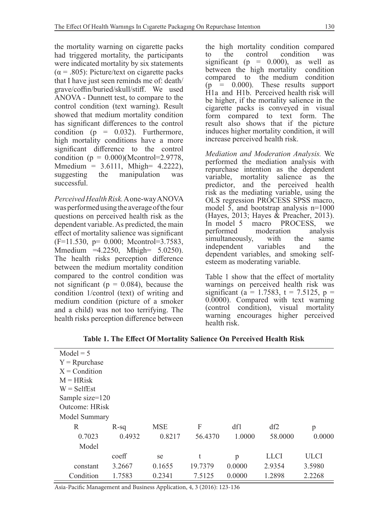the mortality warning on cigarette packs had triggered mortality, the participants were indicated mortality by six statements  $(\alpha = .805)$ : Picture/text on cigarette packs that I have just seen reminds me of: death/ grave/coffin/buried/skull/stiff. We used ANOVA - Dunnett test, to compare to the control condition (text warning). Result showed that medium mortality condition has significant differences to the control condition ( $p = 0.032$ ). Furthermore, high mortality conditions have a more significant difference to the control condition ( $p = 0.000$ )(Mcontrol=2.9778,  $M_{\text{median}} = 3.6111$ ,  $M_{\text{high}} = 4.2222$ ), suggesting the manipulation was successful.

*Perceived Health Risk.* A one-way ANOVA was performed using the average of the four questions on perceived health risk as the dependent variable. As predicted, the main effect of mortality salience was significant (F=11.530, p= 0.000; Mcontrol=3.7583, Mmedium =4.2250, Mhigh= 5.0250). The health risks perception difference between the medium mortality condition compared to the control condition was not significant ( $p = 0.084$ ), because the condition 1/control (text) of writing and medium condition (picture of a smoker and a child) was not too terrifying. The health risks perception difference between the high mortality condition compared<br>to the control condition was to the control condition significant ( $p = 0.000$ ), as well as between the high mortality condition compared to the medium condition  $(p = 0.000)$ . These results support H1a and H1b. Perceived health risk will be higher, if the mortality salience in the cigarette packs is conveyed in visual form compared to text form. The result also shows that if the picture induces higher mortality condition, it will increase perceived health risk.

*Mediation and Moderation Analysis.* We performed the mediation analysis with repurchase intention as the dependent variable, mortality salience as the predictor, and the perceived health risk as the mediating variable, using the OLS regression PROCESS SPSS macro, model 5, and bootstrap analysis n=1000 (Hayes, 2013; Hayes & Preacher, 2013). In model 5 macro PROCESS, we<br>performed moderation analysis moderation analysis<br>with the same simultaneously, with the same<br>independent variables and the independent dependent variables, and smoking selfesteem as moderating variable.

Table 1 show that the effect of mortality warnings on perceived health risk was significant (a = 1.7583, t = 7.5125, p = 0.0000). Compared with text warning (control condition), visual mortality warning encourages higher perceived health risk.

| $Model = 5$      |        |            |         |        |             |             |
|------------------|--------|------------|---------|--------|-------------|-------------|
| $Y = R$ purchase |        |            |         |        |             |             |
| $X =$ Condition  |        |            |         |        |             |             |
| $M = HRisk$      |        |            |         |        |             |             |
| $W =$ SelfEst    |        |            |         |        |             |             |
| Sample size=120  |        |            |         |        |             |             |
| Outcome: HRisk   |        |            |         |        |             |             |
| Model Summary    |        |            |         |        |             |             |
| R                | $R-sq$ | <b>MSE</b> | F       | df1    | df2         | p           |
| 0.7023           | 0.4932 | 0.8217     | 56.4370 | 1.0000 | 58.0000     | 0.0000      |
| Model            |        |            |         |        |             |             |
|                  | coeff  | se         | t       | p      | <b>LLCI</b> | <b>ULCI</b> |
| constant         | 3.2667 | 0.1655     | 19.7379 | 0.0000 | 2.9354      | 3.5980      |
| Condition        | 1.7583 | 0.2341     | 7.5125  | 0.0000 | 1.2898      | 2.2268      |

**Table 1. The Effect Of Mortality Salience On Perceived Health Risk**

Asia-Pacific Management and Business Application, 4, 3 (2016): 123-136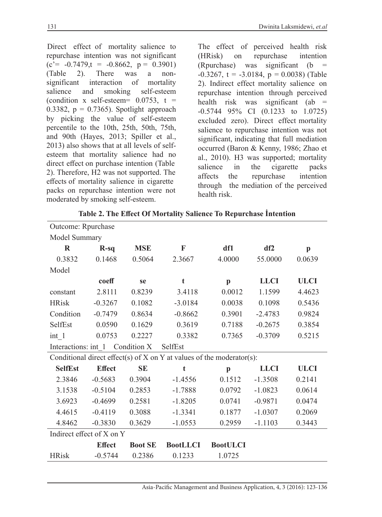Direct effect of mortality salience to repurchase intention was not significant  $(c'=-0.7479,t = -0.8662, p = 0.3901)$ (Table 2). There was a nonsignificant interaction of mortality salience and smoking self-esteem (condition x self-esteem=  $0.0753$ , t = 0.3382,  $p = 0.7365$ . Spotlight approach by picking the value of self-esteem percentile to the 10th, 25th, 50th, 75th, and 90th (Hayes, 2013; Spiller et al., 2013) also shows that at all levels of selfesteem that mortality salience had no direct effect on purchase intention (Table 2). Therefore, H2 was not supported. The effects of mortality salience in cigarette packs on repurchase intention were not moderated by smoking self-esteem.

The effect of perceived health risk (HRisk) on repurchase intention (Rpurchase) was significant ( $b =$  $-0.3267$ , t =  $-3.0184$ , p = 0.0038) (Table 2). Indirect effect mortality salience on repurchase intention through perceived health risk was significant (ab  $=$ -0.5744 95% CI (0.1233 to 1.0725) excluded zero). Direct effect mortality salience to repurchase intention was not significant, indicating that full mediation occurred (Baron & Kenny, 1986; Zhao et al., 2010). H3 was supported; mortality salience in the cigarette packs affects the repurchase intention through the mediation of the perceived health risk.

| Outcome: Rpurchase                 |               |                |                                                                           |                 |             |              |
|------------------------------------|---------------|----------------|---------------------------------------------------------------------------|-----------------|-------------|--------------|
| Model Summary                      |               |                |                                                                           |                 |             |              |
| $\bf R$                            | $R-sq$        | <b>MSE</b>     | F                                                                         | df1             | df2         | $\mathbf{p}$ |
| 0.3832                             | 0.1468        | 0.5064         | 2.3667                                                                    | 4.0000          | 55.0000     | 0.0639       |
| Model                              |               |                |                                                                           |                 |             |              |
|                                    | coeff         | se             | t                                                                         | $\mathbf{p}$    | <b>LLCI</b> | <b>ULCI</b>  |
| constant                           | 2.8111        | 0.8239         | 3.4118                                                                    | 0.0012          | 1.1599      | 4.4623       |
| <b>HRisk</b>                       | $-0.3267$     | 0.1082         | $-3.0184$                                                                 | 0.0038          | 0.1098      | 0.5436       |
| Condition                          | $-0.7479$     | 0.8634         | $-0.8662$                                                                 | 0.3901          | $-2.4783$   | 0.9824       |
| SelfEst                            | 0.0590        | 0.1629         | 0.3619                                                                    | 0.7188          | $-0.2675$   | 0.3854       |
| $int_1$ 1                          | 0.0753        | 0.2227         | 0.3382                                                                    | 0.7365          | $-0.3709$   | 0.5215       |
| Condition X<br>Interactions: int 1 |               |                | SelfEst                                                                   |                 |             |              |
|                                    |               |                |                                                                           |                 |             |              |
|                                    |               |                | Conditional direct effect(s) of $X$ on $Y$ at values of the moderator(s): |                 |             |              |
| <b>SelfEst</b>                     | <b>Effect</b> | <b>SE</b>      | t                                                                         | $\mathbf{p}$    | <b>LLCI</b> | <b>ULCI</b>  |
| 2.3846                             | $-0.5683$     | 0.3904         | $-1.4556$                                                                 | 0.1512          | $-1.3508$   | 0.2141       |
| 3.1538                             | $-0.5104$     | 0.2853         | $-1.7888$                                                                 | 0.0792          | $-1.0823$   | 0.0614       |
| 3.6923                             | $-0.4699$     | 0.2581         | $-1.8205$                                                                 | 0.0741          | $-0.9871$   | 0.0474       |
| 4.4615                             | $-0.4119$     | 0.3088         | $-1.3341$                                                                 | 0.1877          | $-1.0307$   | 0.2069       |
| 4.8462                             | $-0.3830$     | 0.3629         | $-1.0553$                                                                 | 0.2959          | $-1.1103$   | 0.3443       |
| Indirect effect of X on Y          |               |                |                                                                           |                 |             |              |
|                                    | <b>Effect</b> | <b>Boot SE</b> | <b>BootLLCI</b>                                                           | <b>BootULCI</b> |             |              |

**Table 2. The Effect Of Mortality Salience To Repurchase İntention**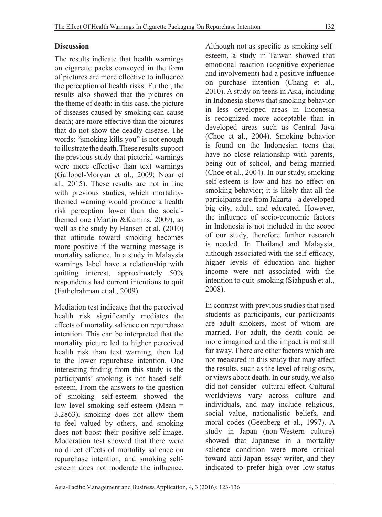### **Discussion**

The results indicate that health warnings on cigarette packs conveyed in the form of pictures are more effective to influence the perception of health risks. Further, the results also showed that the pictures on the theme of death; in this case, the picture of diseases caused by smoking can cause death; are more effective than the pictures that do not show the deadly disease. The words: "smoking kills you" is not enough to illustrate the death. These results support the previous study that pictorial warnings were more effective than text warnings (Gallopel-Morvan et al., 2009; Noar et al., 2015). These results are not in line with previous studies, which mortalitythemed warning would produce a health risk perception lower than the socialthemed one (Martin &Kamins, 2009), as well as the study by Hansen et al. (2010) that attitude toward smoking becomes more positive if the warning message is mortality salience. In a study in Malaysia warnings label have a relationship with quitting interest, approximately 50% respondents had current intentions to quit (Fathelrahman et al., 2009).

Mediation test indicates that the perceived health risk significantly mediates the effects of mortality salience on repurchase intention. This can be interpreted that the mortality picture led to higher perceived health risk than text warning, then led to the lower repurchase intention. One interesting finding from this study is the participants' smoking is not based selfesteem. From the answers to the question of smoking self-esteem showed the low level smoking self-esteem (Mean = 3.2863), smoking does not allow them to feel valued by others, and smoking does not boost their positive self-image. Moderation test showed that there were no direct effects of mortality salience on repurchase intention, and smoking selfesteem does not moderate the influence. Although not as specific as smoking selfesteem, a study in Taiwan showed that emotional reaction (cognitive experience and involvement) had a positive influence on purchase intention (Chang et al., 2010). A study on teens in Asia, including in Indonesia shows that smoking behavior in less developed areas in Indonesia is recognized more acceptable than in developed areas such as Central Java (Choe et al., 2004). Smoking behavior is found on the Indonesian teens that have no close relationship with parents, being out of school, and being married (Choe et al., 2004). In our study, smoking self-esteem is low and has no effect on smoking behavior; it is likely that all the participants are from Jakarta – a developed big city, adult, and educated. However, the influence of socio-economic factors in Indonesia is not included in the scope of our study, therefore further research is needed. In Thailand and Malaysia, although associated with the self-efficacy, higher levels of education and higher income were not associated with the intention to quit smoking (Siahpush et al., 2008).

In contrast with previous studies that used students as participants, our participants are adult smokers, most of whom are married. For adult, the death could be more imagined and the impact is not still far away. There are other factors which are not measured in this study that may affect the results, such as the level of religiosity, or views about death. In our study, we also did not consider cultural effect. Cultural worldviews vary across culture and individuals, and may include religious, social value, nationalistic beliefs, and moral codes (Geenberg et al., 1997). A study in Japan (non-Western culture) showed that Japanese in a mortality salience condition were more critical toward anti-Japan essay writer, and they indicated to prefer high over low-status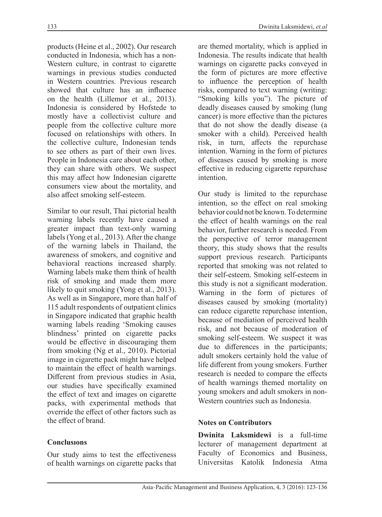products (Heine et al., 2002). Our research conducted in Indonesia, which has a non-Western culture, in contrast to cigarette warnings in previous studies conducted in Western countries. Previous research showed that culture has an influence on the health (Lillemor et al., 2013). Indonesia is considered by Hofstede to mostly have a collectivist culture and people from the collective culture more focused on relationships with others. In the collective culture, Indonesian tends to see others as part of their own lives. People in Indonesia care about each other, they can share with others. We suspect this may affect how Indonesian cigarette consumers view about the mortality, and also affect smoking self-esteem.

Similar to our result, Thai pictorial health warning labels recently have caused a greater impact than text-only warning labels (Yong et al., 2013). After the change of the warning labels in Thailand, the awareness of smokers, and cognitive and behavioral reactions increased sharply. Warning labels make them think of health risk of smoking and made them more likely to quit smoking (Yong et al., 2013). As well as in Singapore, more than half of 115 adult respondents of outpatient clinics in Singapore indicated that graphic health warning labels reading 'Smoking causes blindness' printed on cigarette packs would be effective in discouraging them from smoking (Ng et al., 2010). Pictorial image in cigarette pack might have helped to maintain the effect of health warnings. Different from previous studies in Asia, our studies have specifically examined the effect of text and images on cigarette packs, with experimental methods that override the effect of other factors such as the effect of brand.

### **Conclusıons**

Our study aims to test the effectiveness of health warnings on cigarette packs that

are themed mortality, which is applied in Indonesia. The results indicate that health warnings on cigarette packs conveyed in the form of pictures are more effective to influence the perception of health risks, compared to text warning (writing: "Smoking kills you"). The picture of deadly diseases caused by smoking (lung cancer) is more effective than the pictures that do not show the deadly disease (a smoker with a child). Perceived health risk, in turn, affects the repurchase intention. Warning in the form of pictures of diseases caused by smoking is more effective in reducing cigarette repurchase intention.

Our study is limited to the repurchase intention, so the effect on real smoking behavior could not be known. To determine the effect of health warnings on the real behavior, further research is needed. From the perspective of terror management theory, this study shows that the results support previous research. Participants reported that smoking was not related to their self-esteem. Smoking self-esteem in this study is not a significant moderation. Warning in the form of pictures of diseases caused by smoking (mortality) can reduce cigarette repurchase intention, because of mediation of perceived health risk, and not because of moderation of smoking self-esteem. We suspect it was due to differences in the participants; adult smokers certainly hold the value of life different from young smokers. Further research is needed to compare the effects of health warnings themed mortality on young smokers and adult smokers in non-Western countries such as Indonesia.

#### **Notes on Contributors**

**Dwinita Laksmidewi** is a full-time lecturer of management department at Faculty of Economics and Business, Universitas Katolik Indonesia Atma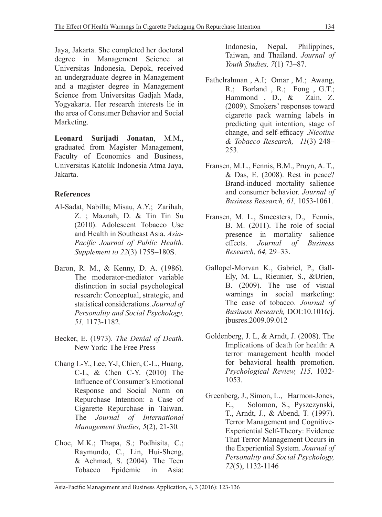Jaya, Jakarta. She completed her doctoral degree in Management Science at Universitas Indonesia, Depok, received an undergraduate degree in Management and a magister degree in Management Science from Universitas Gadjah Mada, Yogyakarta. Her research interests lie in the area of Consumer Behavior and Social Marketing.

**Leonard Surijadi Jonatan**, M.M., graduated from Magister Management, Faculty of Economics and Business, Universitas Katolik Indonesia Atma Jaya, Jakarta.

### **References**

- Al-Sadat, Nabilla; Misau, A.Y.; Zarihah, Z. ; Maznah, D. & Tin Tin Su (2010). Adolescent Tobacco Use and Health in Southeast Asia. *Asia-Pacific Journal of Public Health. Supplement to 22*(3) 175S–180S.
- Baron, R. M., & Kenny, D. A. (1986). The moderator-mediator variable distinction in social psychological research: Conceptual, strategic, and statistical considerations. *Journal of Personality and Social Psychology, 51,* 1173-1182.
- Becker, E. (1973). *The Denial of Death*. New York: The Free Press
- Chang L-Y., Lee, Y-J, Chien, C-L., Huang, C-L, & Chen C-Y. (2010) The Influence of Consumer's Emotional Response and Social Norm on Repurchase Intention: a Case of Cigarette Repurchase in Taiwan. The *Journal of International Management Studies, 5*(2), 21-30*.*
- Choe, M.K.; Thapa, S.; Podhisita, C.; Raymundo, C., Lin, Hui-Sheng, & Achmad, S. (2004). The Teen Tobacco Epidemic in Asia:

Indonesia, Nepal, Philippines, Taiwan, and Thailand. *Journal of Youth Studies, 7*(1) 73–87.

- Fathelrahman , A.I; Omar , M.; Awang, R.; Borland , R.; Fong , G.T.; Hammond , D., & Zain, Z. (2009). Smokers' responses toward cigarette pack warning labels in predicting quit intention, stage of change, and self-efficacy .*Nicotine & Tobacco Research, 11*(3) 248– 253.
- Fransen, M.L., Fennis, B.M., Pruyn, A. T., & Das, E. (2008). Rest in peace? Brand-induced mortality salience and consumer behavior. *Journal of Business Research, 61,* 1053-1061.
- Fransen, M. L., Smeesters, D., Fennis, B. M. (2011). The role of social presence in mortality salience effects. *Journal of Business Research, 64,* 29–33.
- Gallopel-Morvan K., Gabriel, P., Gall-Ely, M. L., Rieunier, S., &Urien, B. (2009). The use of visual warnings in social marketing: The case of tobacco. *Journal of Business Research,* DOI:10.1016/j. jbusres.2009.09.012
- Goldenberg, J. L, & Arndt, J. (2008). The Implications of death for health: A terror management health model for behavioral health promotion. *Psychological Review, 115,* 1032- 1053.
- Greenberg, J., Simon, L., Harmon-Jones, E., Solomon, S., Pyszczynski, T., Arndt, J., & Abend, T. (1997). Terror Management and Cognitive-Experiential Self-Theory: Evidence That Terror Management Occurs in the Experiential System. *Journal of Personality and Social Psychology, 72*(5), 1132-1146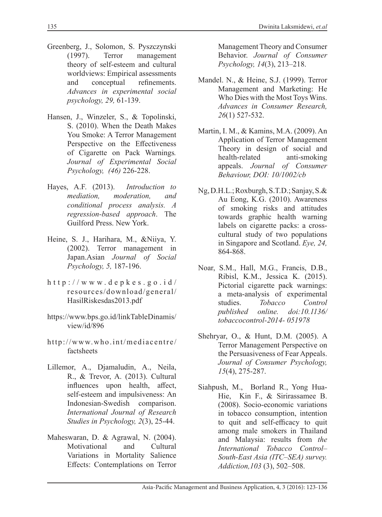- Greenberg, J., Solomon, S. Pyszczynski (1997). Terror management theory of self-esteem and cultural worldviews: Empirical assessments and conceptual refinements. *Advances in experimental social psychology, 29,* 61-139.
- Hansen, J., Winzeler, S., & Topolinski, S. (2010). When the Death Makes You Smoke: A Terror Management Perspective on the Effectiveness of Cigarette on Pack Warnings*. Journal of Experimental Social Psychology, (46)* 226-228.
- Hayes, A.F. (2013). *Introduction to mediation, moderation, and conditional process analysis. A regression-based approach*. The Guilford Press. New York.
- Heine, S. J., Harihara, M., &Niiya, Y. (2002). Terror management in Japan.Asian *Journal of Social Psychology, 5,* 187-196.
- http://www.depkes.go.id/ resources/download/general/ HasilRiskesdas2013.pdf
- https://www.bps.go.id/linkTableDinamis/ view/id/896
- http://www.who.int/mediacentre/ factsheets
- Lillemor, A., Djamaludin, A., Neila, R., & Trevor, A. (2013). Cultural influences upon health, affect, self-esteem and impulsiveness: An Indonesian-Swedish comparison. *International Journal of Research Studies in Psychology, 2*(3), 25-44.
- Maheswaran, D. & Agrawal, N. (2004). Motivational and Cultural Variations in Mortality Salience Effects: Contemplations on Terror

Management Theory and Consumer Behavior. *Journal of Consumer Psychology, 14*(3), 213–218.

- Mandel. N., & Heine, S.J. (1999). Terror Management and Marketing: He Who Dies with the Most Toys Wins. *Advances in Consumer Research, 26*(1) 527-532.
- Martin, I. M., & Kamins, M.A. (2009). An Application of Terror Management Theory in design of social and<br>health-related anti-smoking health-related appeals. *Journal of Consumer Behaviour, DOI: 10/1002/cb*
- Ng, D.H.L.; Roxburgh, S.T.D.; Sanjay, S.& Au Eong, K.G. (2010). Awareness of smoking risks and attitudes towards graphic health warning labels on cigarette packs: a crosscultural study of two populations in Singapore and Scotland. *Eye, 24,*  864-868.
- Noar, S.M., Hall, M.G., Francis, D.B., Ribisl, K.M., Jessica K. (2015). Pictorial cigarette pack warnings: a meta-analysis of experimental studies. *Tobacco Control published online. doi:10.1136/ tobaccocontrol-2014- 051978*
- Shehryar, O., & Hunt, D.M. (2005). A Terror Management Perspective on the Persuasiveness of Fear Appeals. *Journal of Consumer Psychology, 15*(4), 275-287.
- Siahpush, M., Borland R., Yong Hua-Hie, Kin F., & Sirirassamee B. (2008). Socio-economic variations in tobacco consumption, intention to quit and self-efficacy to quit among male smokers in Thailand and Malaysia: results from *the International Tobacco Control– South-East Asia (ITC–SEA) survey. Addiction,103* (3), 502–508.